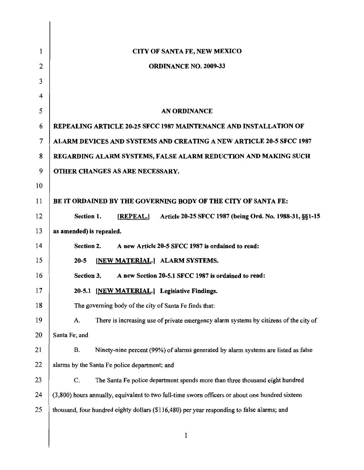| 1  | CITY OF SANTA FE, NEW MEXICO                                                                    |
|----|-------------------------------------------------------------------------------------------------|
| 2  | <b>ORDINANCE NO. 2009-33</b>                                                                    |
| 3  |                                                                                                 |
| 4  |                                                                                                 |
| 5  | <b>AN ORDINANCE</b>                                                                             |
| 6  | REPEALING ARTICLE 20-25 SFCC 1987 MAINTENANCE AND INSTALLATION OF                               |
| 7  | ALARM DEVICES AND SYSTEMS AND CREATING A NEW ARTICLE 20-5 SFCC 1987                             |
| 8  | REGARDING ALARM SYSTEMS, FALSE ALARM REDUCTION AND MAKING SUCH                                  |
| 9  | OTHER CHANGES AS ARE NECESSARY.                                                                 |
| 10 |                                                                                                 |
| 11 | BE IT ORDAINED BY THE GOVERNING BODY OF THE CITY OF SANTA FE:                                   |
| 12 | [REPEAL.] Article 20-25 SFCC 1987 (being Ord. No. 1988-31, §§1-15<br>Section 1.                 |
| 13 | as amended) is repealed.                                                                        |
| 14 | Section 2.<br>A new Article 20-5 SFCC 1987 is ordained to read:                                 |
| 15 | [NEW MATERIAL.] ALARM SYSTEMS.<br>$20 - 5$                                                      |
| 16 | Section 3.<br>A new Section 20-5.1 SFCC 1987 is ordained to read:                               |
| 17 | 20-5.1 [NEW MATERIAL.] Legislative Findings.                                                    |
| 18 | The governing body of the city of Santa Fe finds that:                                          |
| 19 | There is increasing use of private emergency alarm systems by citizens of the city of<br>A.     |
| 20 | Santa Fe; and                                                                                   |
| 21 | Ninety-nine percent (99%) of alarms generated by alarm systems are listed as false<br><b>B.</b> |
| 22 | alarms by the Santa Fe police department; and                                                   |
| 23 | C.<br>The Santa Fe police department spends more than three thousand eight hundred              |
| 24 | (3,800) hours annually, equivalent to two full-time sworn officers or about one hundred sixteen |
| 25 | thousand, four hundred eighty dollars (\$116,480) per year responding to false alarms; and      |
|    | $\mathbf{1}$                                                                                    |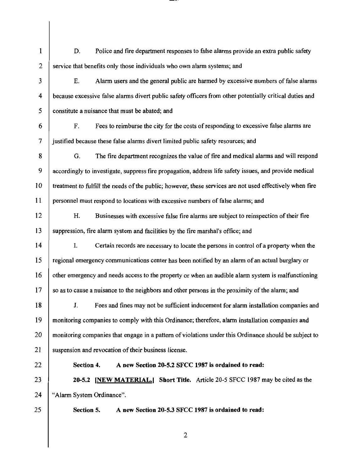1 2 3 4 5 6 7 8 9 10 11 12 13 14 15 16 17 18 19 20 21 22 23 24 25 D. Police and fire department responses to false alarms provide an extra public safety service that benefits only those individuals who own alarm systems; and E. Alann users and the general public are harmed by excessive numbers of false alanns because excessive false alanns divert public safety officers from other potentially critical duties and constitute a nuisance that must be abated; and F. Fees to reimburse the city for the costs of responding to excessive false alarms are justified because these false alarms divert limited public safety resources; and G. The fire department recognizes the value of fire and medical alanns and will respond accordingly to investigate, suppress fire propagation, address life safety issues, and provide medical treatment to fulfill the needs ofthe public; however, these services are not used effectively when fire personnel must respond to locations with excessive numbers of false alanns; and H. Businesses with excessive false fire alanns are subject to reinspection oftheir fire suppression, fire alarm system and facilities by the fire marshal's office; and 1. Certain records are necessary to locate the persons in control of a property when the regional emergency communications center has been notified by an alann of an actual burglary or other emergency and needs access to the property or when an audible alann system is malfunctioning so as to cause a nuisance to the neighbors and other persons in the proximity of the alann; and J. Fees and fines may not be sufficient inducement for alarm installation companies and monitoring companies to comply with this Ordinance; therefore, alarm installation companies and monitoring companies that engage in a pattern of violations under this Ordinance should be subject to suspension and revocation of their business license. Section 4. A new Section 20-5.2 SFCC 1987 is ordained to read: 20-5.2 [NEW MATERIAL.) Sbort Title. Article 20-5 SFCC 1987 may be cited as the "Alarm System Ordinance". Section 5. A new Section 20-5.3 SFCC 1987 is ordained to read: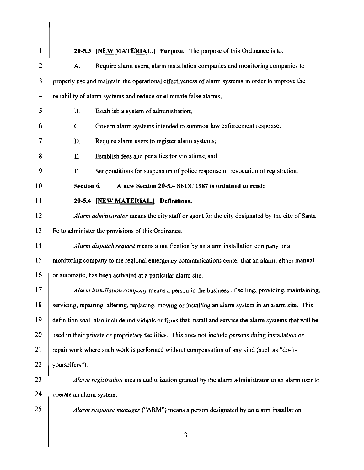| 1  | 20-5.3 [NEW MATERIAL.] Purpose. The purpose of this Ordinance is to:                                       |  |  |
|----|------------------------------------------------------------------------------------------------------------|--|--|
| 2  | Require alarm users, alarm installation companies and monitoring companies to<br>А.                        |  |  |
| 3  | properly use and maintain the operational effectiveness of alarm systems in order to improve the           |  |  |
| 4  | reliability of alarm systems and reduce or eliminate false alarms;                                         |  |  |
| 5  | Establish a system of administration;<br><b>B.</b>                                                         |  |  |
| 6  | Govern alarm systems intended to summon law enforcement response;<br>C.                                    |  |  |
| 7  | D.<br>Require alarm users to register alarm systems;                                                       |  |  |
| 8  | Ε.<br>Establish fees and penalties for violations; and                                                     |  |  |
| 9  | F.<br>Set conditions for suspension of police response or revocation of registration.                      |  |  |
| 10 | Section 6.<br>A new Section 20-5.4 SFCC 1987 is ordained to read:                                          |  |  |
| 11 | 20-5.4 [NEW MATERIAL.] Definitions.                                                                        |  |  |
| 12 | Alarm administrator means the city staff or agent for the city designated by the city of Santa             |  |  |
| 13 | Fe to administer the provisions of this Ordinance.                                                         |  |  |
| 14 | Alarm dispatch request means a notification by an alarm installation company or a                          |  |  |
| 15 | monitoring company to the regional emergency communications center that an alarm, either manual            |  |  |
| 16 | or automatic, has been activated at a particular alarm site.                                               |  |  |
| 17 | Alarm installation company means a person in the business of selling, providing, maintaining,              |  |  |
| 18 | servicing, repairing, altering, replacing, moving or installing an alarm system in an alarm site. This     |  |  |
| 19 | definition shall also include individuals or firms that install and service the alarm systems that will be |  |  |
| 20 | used in their private or proprietary facilities. This does not include persons doing installation or       |  |  |
| 21 | repair work where such work is performed without compensation of any kind (such as "do-it-                 |  |  |
| 22 | yourselfers").                                                                                             |  |  |
| 23 | Alarm registration means authorization granted by the alarm administrator to an alarm user to              |  |  |
| 24 | operate an alarm system.                                                                                   |  |  |
| 25 | Alarm response manager ("ARM") means a person designated by an alarm installation                          |  |  |
|    | 3                                                                                                          |  |  |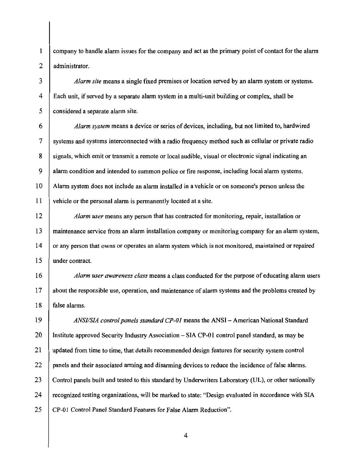1 2 company to handle alarm issues for the company and act as the primary point of contact for the alarm administrator.

*3* 4 5 *Alarm site* means a single fixed premises or location served by an alarm system or systems. Each unit, if served by a separate alarm system in a multi-unit building or complex, shall be considered a separate alarm site.

*6* 7 8 9 10 11 *Alarm system* means a device or series of devices, including, but not limited to, hardwired systems and systems interconnected with a radio frequency method such as cellular or private radio signals, which emit or transmit a remote or local audible, visual or electronic signal indicating an alarm condition and intended to summon police or fire response, including local alarm systems. Alarm system does not include an alarm installed in a vehicle or on someone's person unless the vehicle or the personal alarm is permanently located at a site.

*12* 13 14 15 *Alarm user* means any person that has contracted for monitoring, repair, installation or maintenance service from an alarm installation company or monitoring company for an alarm system, or any person that owns or operates an alarm system which is not monitored, maintained or repaired under contract.

*16* 17 18 *Alarm user awareness class* means a class conducted for the purpose of educating alarm users about the responsible use, operation, and maintenance of alarm systems and the problems created by false alarms.

19 20 21 22 23 24 25 *ANSIISlA control panels standard CP-OI* means the ANSI - American National Standard Institute approved Security Industry Association - SIA CP-01 control panel standard, as may be updated from time to time, that details recommended design features for security system control panels and their associated arming and disarming devices to reduce the incidence of false alarms. Control panels built and tested to this standard by Underwriters Laboratory (UL), or other nationally recognized testing organizations, will be marked to state: "Design evaluated in accordance with SIA CP-Ol *Control* Panel Standard *Features* for False Alarm Reduction".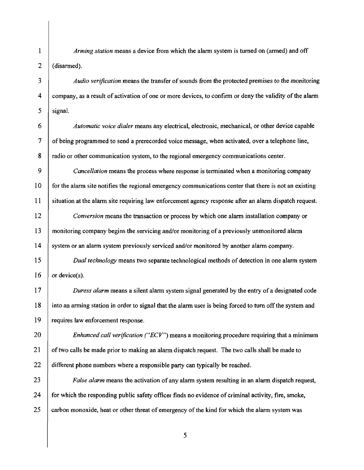*Arming station* means a device from which the alarm system is turned on (armed) and off (disarmed).

1

2

*3*

4

5

*6*

7

8

12

13

14

17

18

19

*Audio verification* means the transfer of sounds from the protected premises to the monitoring company, as a result of activation of one or more devices, to confinn or deny the validity of the alann signal.

*Automatic voice dialer* means any electrical, electronic, mechanical, or other device capable of being programmed to send a prerecorded voice message, when activated, over a telephone line, radio or other communication system, to the regional emergency communications center.

*9* 10 11 *Cancellation* means the process where response is terminated when a monitoring company for the alarm site notifies the regional emergency communications center that there is not an existing situation at the alann site requiring law enforcement agency response after an alann dispatch request.

*Conversion* means the transaction or process by which one alann installation company or monitoring company begins the servicing and/or monitoring of a previously unmonitored alann system or an alarm system previously serviced and/or monitored by another alarm company.

*15* 16 *Dual technology* means two separate technological methods of detection in one alann system or device(s).

*Duress alarm* means a silent alarm system signal generated by the entry of a designated code into an arming station in order to signal that the alarm user is being forced to turn off the system and requires law enforcement response.

*20* 21 22 *Enhanced call verification ("ECV")* means a monitoring procedure requiring that a minimum of two calls be made prior to making an alann dispatch request. The two calls shall be made to different phone numbers where a responsible party can typically be reached.

*23* 24 25 *False alarm* means the activation of any alarm system resulting in an alarm dispatch request, for which the responding public safety officer finds no evidence of criminal activity, fire, smoke, carbon monoxide, heat or other threat of emergency of the kind for which the alann system was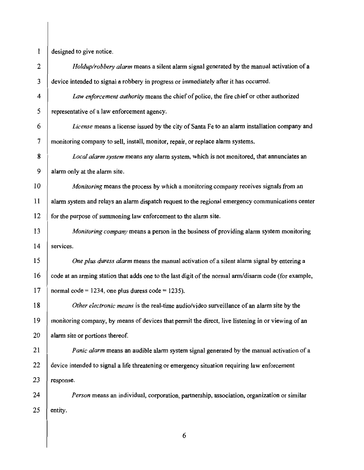$1$  designed to give notice.

| $\overline{2}$ | Holdup/robbery alarm means a silent alarm signal generated by the manual activation of a              |
|----------------|-------------------------------------------------------------------------------------------------------|
| 3              | device intended to signal a robbery in progress or immediately after it has occurred.                 |
| 4              | Law enforcement authority means the chief of police, the fire chief or other authorized               |
| 5              | representative of a law enforcement agency.                                                           |
| 6              | License means a license issued by the city of Santa Fe to an alarm installation company and           |
| 7              | monitoring company to sell, install, monitor, repair, or replace alarm systems.                       |
| 8              | Local alarm system means any alarm system, which is not monitored, that annunciates an                |
| 9              | alarm only at the alarm site.                                                                         |
| 10             | <i>Monitoring</i> means the process by which a monitoring company receives signals from an            |
| 11             | alarm system and relays an alarm dispatch request to the regional emergency communications center     |
| 12             | for the purpose of summoning law enforcement to the alarm site.                                       |
| 13             | Monitoring company means a person in the business of providing alarm system monitoring                |
| 14             | services.                                                                                             |
| 15             | One plus duress alarm means the manual activation of a silent alarm signal by entering a              |
| 16             | code at an arming station that adds one to the last digit of the normal arm/disarm code (for example, |
| 17             | normal code = $1234$ , one plus duress code = $1235$ ).                                               |
| 18             | Other electronic means is the real-time audio/video surveillance of an alarm site by the              |
| 19             | monitoring company, by means of devices that permit the direct, live listening in or viewing of an    |
| 20             | alarm site or portions thereof.                                                                       |
| 21             | <i>Panic alarm</i> means an audible alarm system signal generated by the manual activation of a       |
| 22             | device intended to signal a life threatening or emergency situation requiring law enforcement         |
| 23             | response.                                                                                             |
| 24             | Person means an individual, corporation, partnership, association, organization or similar            |
| 25             | entity.                                                                                               |
|                |                                                                                                       |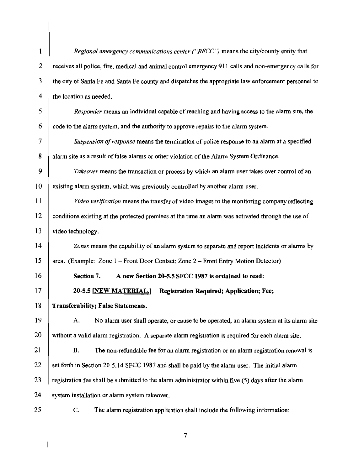| 1                       | Regional emergency communications center ("RECC") means the city/county entity that                   |
|-------------------------|-------------------------------------------------------------------------------------------------------|
| $\overline{2}$          | receives all police, fire, medical and animal control emergency 911 calls and non-emergency calls for |
| 3                       | the city of Santa Fe and Santa Fe county and dispatches the appropriate law enforcement personnel to  |
| $\overline{\mathbf{4}}$ | the location as needed.                                                                               |
| 5                       | Responder means an individual capable of reaching and having access to the alarm site, the            |
| 6                       | code to the alarm system, and the authority to approve repairs to the alarm system.                   |
| 7                       | Suspension of response means the termination of police response to an alarm at a specified            |
| 8                       | alarm site as a result of false alarms or other violation of the Alarm System Ordinance.              |
| 9                       | Takeover means the transaction or process by which an alarm user takes over control of an             |
| 10                      | existing alarm system, which was previously controlled by another alarm user.                         |
| 11                      | Video verification means the transfer of video images to the monitoring company reflecting            |
| 12                      | conditions existing at the protected premises at the time an alarm was activated through the use of   |
| 13                      | video technology.                                                                                     |
| 14                      | Zones means the capability of an alarm system to separate and report incidents or alarms by           |
| 15                      | area. (Example: Zone 1 - Front Door Contact; Zone 2 - Front Entry Motion Detector)                    |
| 16                      | A new Section 20-5.5 SFCC 1987 is ordained to read:<br>Section 7.                                     |
| 17                      | 20-5.5 [NEW MATERIAL.]<br><b>Registration Required; Application; Fee;</b>                             |
| 18                      | <b>Transferability; False Statements.</b>                                                             |
| 19                      | No alarm user shall operate, or cause to be operated, an alarm system at its alarm site<br>A.         |
| 20                      | without a valid alarm registration. A separate alarm registration is required for each alarm site.    |
| 21                      | <b>B.</b><br>The non-refundable fee for an alarm registration or an alarm registration renewal is     |
| 22                      | set forth in Section 20-5.14 SFCC 1987 and shall be paid by the alarm user. The initial alarm         |
| 23                      | registration fee shall be submitted to the alarm administrator within five (5) days after the alarm   |
| 24                      | system installation or alarm system takeover.                                                         |
| 25                      | The alarm registration application shall include the following information:<br>C.                     |
|                         |                                                                                                       |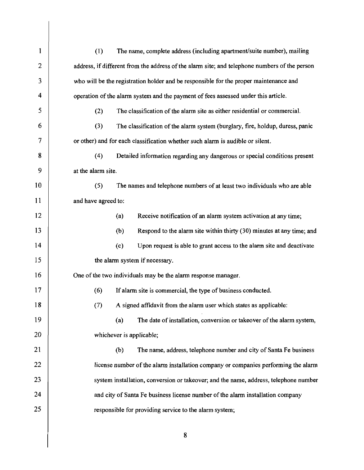| 1  | The name, complete address (including apartment/suite number), mailing<br>(1)                 |  |  |
|----|-----------------------------------------------------------------------------------------------|--|--|
| 2  | address, if different from the address of the alarm site; and telephone numbers of the person |  |  |
| 3  | who will be the registration holder and be responsible for the proper maintenance and         |  |  |
| 4  | operation of the alarm system and the payment of fees assessed under this article.            |  |  |
| 5  | The classification of the alarm site as either residential or commercial.<br>(2)              |  |  |
| 6  | (3)<br>The classification of the alarm system (burglary, fire, holdup, duress, panic          |  |  |
| 7  | or other) and for each classification whether such alarm is audible or silent.                |  |  |
| 8  | (4)<br>Detailed information regarding any dangerous or special conditions present             |  |  |
| 9  | at the alarm site.                                                                            |  |  |
| 10 | (5)<br>The names and telephone numbers of at least two individuals who are able               |  |  |
| 11 | and have agreed to:                                                                           |  |  |
| 12 | Receive notification of an alarm system activation at any time;<br>(a)                        |  |  |
| 13 | Respond to the alarm site within thirty (30) minutes at any time; and<br>(b)                  |  |  |
| 14 | Upon request is able to grant access to the alarm site and deactivate<br>(c)                  |  |  |
| 15 | the alarm system if necessary.                                                                |  |  |
| 16 | One of the two individuals may be the alarm response manager.                                 |  |  |
| 17 | (6)<br>If alarm site is commercial, the type of business conducted.                           |  |  |
| 18 | (7)<br>A signed affidavit from the alarm user which states as applicable:                     |  |  |
| 19 | The date of installation, conversion or takeover of the alarm system,<br>(a)                  |  |  |
| 20 | whichever is applicable;                                                                      |  |  |
| 21 | (b)<br>The name, address, telephone number and city of Santa Fe business                      |  |  |
| 22 | license number of the alarm installation company or companies performing the alarm            |  |  |
| 23 | system installation, conversion or takeover; and the name, address, telephone number          |  |  |
| 24 | and city of Santa Fe business license number of the alarm installation company                |  |  |
| 25 | responsible for providing service to the alarm system;                                        |  |  |
|    |                                                                                               |  |  |
|    | 8                                                                                             |  |  |
|    |                                                                                               |  |  |

 $\mathbb{R}^n$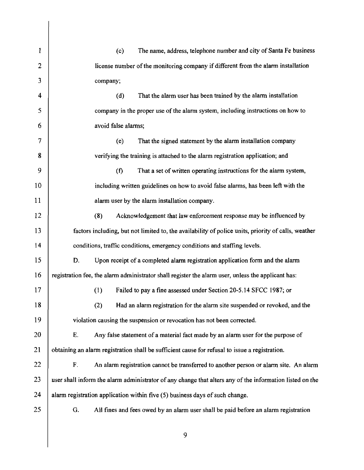1 2 3 4 5 6 7 8 9 10 11 12 13 14 15 16 17 18 19 20 21 22 23 24 25 (c) The name, address, telephone number and city of Santa Fe business license number of the monitoring company if different from the alarm installation company; (d) That the alarm user has been trained by the alarm installation company in the proper use of the alarm system, including instructions on how to avoid false alarms; (e) That the signed statement by the alarm installation company verifying the training is attached to the alarm registration application; and (f) That a set of written operating instructions for the alarm system, including written guidelines on how to avoid false alarms, has been left with the alarm user by the alarm installation company. (8) Acknowledgement that law enforcement response may be influenced by factors including, but not limited to, the availability of police units, priority of calls, weather conditions, traffic conditions, emergency conditions and staffing levels. D. Upon receipt of a completed alarm registration application form and the alarm registration fee, the alarm administrator shall register the alarm user, unless the applicant has: (I) Failed to pay a fine assessed under Section 20-5.14 SFCC 1987; or (2) Had an alarm registration for the alarm site suspended or revoked, and the violation causing the suspension or revocation has not been corrected. E. Any false statement of a material fact made by an alarm user for the purpose of obtaining an alarm registration shall be sufficient cause for refusal to issue a registration. F. An alarm registration cannot be transferred to another person or alarm site. An alarm user shall inform the alarm administrator of any change that alters any ofthe information listed on the alarm registration application within five (5) business days of such change. G. All fines and fees owed by an alarm user shall be paid before an alarm registration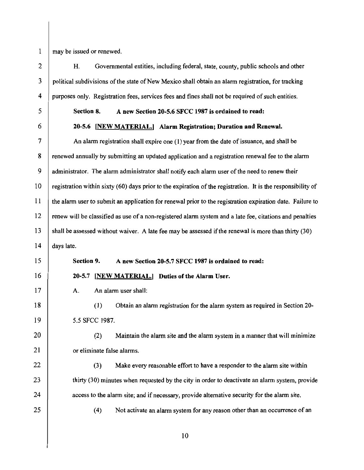may be issued or renewed.

2 3 4 5 6 7 8 9 10 11 12 13 14 15 16 17 18 19 20 21 22 23 24 25 H. Governmental entities, including federal, state, county, public schools and other political subdivisions ofthe state of New Mexico shall obtain an alarm registration, for tracking purposes only. Registration fees, services fees and fines shall not be required of such entities. Section 8. A new Section 20-5.6 SFCC 1987 is ordained to read: 20-5.6 [NEW MATERIAL.) Alarm Registration; Duration and Renewal. An alarm registration shall expire one (I) year from the date of issuance, and shall be renewed annually by submitting an updated application and a registration renewal fee to the alarm administrator. The alarm administrator shall notify each alarm user of the need to renew their registration within sixty (60) days prior to the expiration of the registration. It is the responsibility of the alarm user to submit an application for renewal prior to the registration expiration date. Failure to renew will be classified as use of a non-registered alarm system and a late fee, citations and penalties shall be assessed without waiver. A late fee may be assessed ifthe renewal is more than thirty (30) days late. Section 9. A new Section 20-5.7 SFCC 1987 is ordained to read: 20-5.7 [NEW MATERIAL.) Duties of the Alarm User. A. An alarm user shall: (I) Obtain an alarm registration for the alarm system as required in Section 20 5.5 SFCC 1987. (2) Maintain the alarm site and the alarm system in a manner that will minimize or eliminate false alarms. (3) Make every reasonable effort to have a responder to the alarm site within thirty (30) minutes when requested by the city in order to deactivate an alarm system, provide access to the alarm site; and if necessary, provide alternative security for the alarm site. (4) Not activate an alarm system for any reason other than an occurrence of an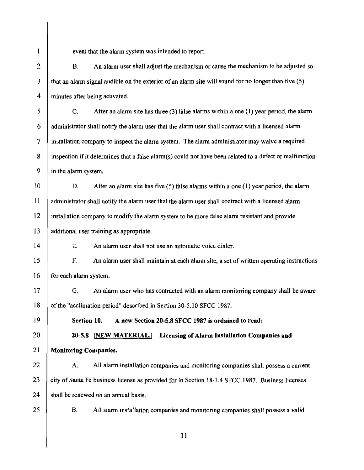$\mathbf{1}$ 

event that the alarm system was intended to report.

2 B. An alarm user shall adjust the mechanism or cause the mechanism to be adjusted so  $3$  that an alarm signal audible on the exterior of an alarm site will sound for no longer than five  $(5)$ 4 minutes after being activated.

5 C. After an alarm site has three (3) false alarms within a one (1) year period, the alarm  $6$  administrator shall notify the alarm user that the alarm user shall contract with a licensed alarm 7 installation company to inspect the alarm system. The alarm administrator may waive a required  $8$  inspection if it determines that a false alarm(s) could not have been related to a defect or malfunction 9 in the alarm system.

10 D. After an alarm site has five (5) false alarms within a one (1) year period, the alarm  $11$  administrator shall notify the alarm user that the alarm user shall contract with a licensed alarm  $12$  installation company to modify the alarm system to be more false alarm resistant and provide 13 additional user training as appropriate.

14 E. An alarm user shall not use an automatic voice dialer.

15 F. An alarm user shall maintain at each alarm site, a set of written operating instructions  $16$  for each alarm system.

17 G. An alarm user who has contracted with an alarm monitoring company shall be aware 18 of the "acclimation period" described in Section 30-5.10 SFCC 1987.

19 Section 10. A new Section 20-5.8 SFCC 1987 is ordained to read:

20 20-5.8 [NEW MATERIAL.] Licensing of Alarm Installation Companies and 21 | Monitoring Companies.

22 A. All alarm installation companies and monitoring companies shall possess a current 23 city of Santa Fe business license as provided for in Section 18-1.4 SFCC 1987. Business licenses  $24$  shall be renewed on an annual basis.

25

B. All alarm installation companies and monitoring companies shall possess a valid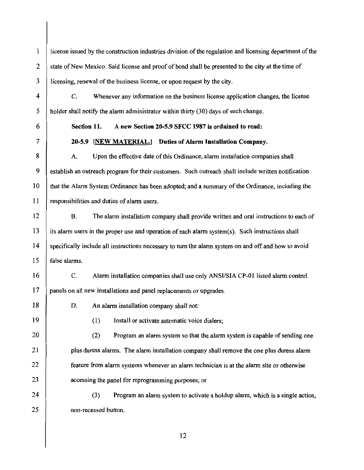1 license issued by the construction industries division of the regulation and licensing department of the 2 state of New Mexico. Said license and proof of bond shall be presented to the city at the time of 3 licensing, renewal of the business license, or upon request by the city.

4 C. Whenever any information on the business license application changes, the license holder shall notify the alarm administrator within thirty (30) days of such change.

6 Section 11. A new Section 20-5.9 SFCC 1987 is ordained to read:

7 20-5.9 [NEW MATERIAL.] Duties of Alarm Installation Company.

10 8 A. Upon the effective date of this Ordinance, alarm installation companies shall 9 stablish an outreach program for their customers. Such outreach shall include written notification that the Alarm System Ordinance has been adopted; and a summary of the Ordinance, including the 11 responsibilities and duties of alarm users.

15 12 B. The alarm installation company shall provide written and oral instructions to each of  $13$  its alarm users in the proper use and operation of each alarm system(s). Such instructions shall 14 specifically include all instructions necessary to turn the alarm system on and off and how to avoid false alarms.

16 C. Alarm installation companies shall use only ANSI/SIA CP-01 listed alarm control 17 panels on all new installations and panel replacements or upgrades.

5

18 D. An alarm installation company shall not:

20

19 (1) Install or activate automatic voice dialers;

(2) Program an alarm system so that the alarm system is capable of sending one **plus duress alarms.** The alarm installation company shall remove the one plus duress alarm **feature from alarm systems whenever an alarm technician is at the alarm site or otherwise accessing the panel for reprogramming purposes; or** 

25  $24$  (3) Program an alarm system to activate a holdup alarm, which is a single action, non-recessed button.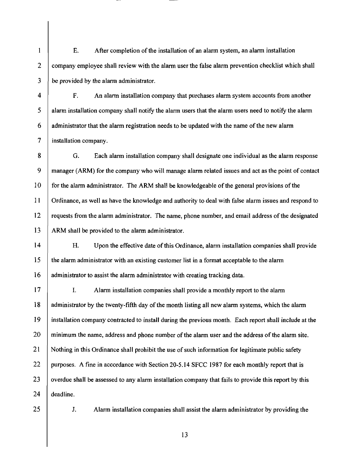$\mathbf{1}$ E. After completion of the installation of an alarm system, an alarm installation 2 company employee shall review with the alarm user the false alarm prevention checklist which shall  $3$  be provided by the alarm administrator.

5 4 F. An alarm installation company that purchases alarm system accounts from another alarm installation company shall notify the alarm users that the alarm users need to notify the alarm 6 administrator that the alarm registration needs to be updated with the name of the new alarm 7 | installation company.

10 8 G. Each alarm installation company shall designate one individual as the alarm response 9 manager (ARM) for the company who will manage alarm related issues and act as the point of contact for the alarm administrator. The ARM shall be knowledgeable of the general provisions of the 11 Ordinance, as well as have the knowledge and authority to deal with false alarm issues and respond to 12 | requests from the alarm administrator. The name, phone number, and email address of the designated  $13$  ARM shall be provided to the alarm administrator.

15 14 H. Upon the effective date ofthis Ordinance, alarm installation companies shall provide the alarm administrator with an existing customer list in a format acceptable to the alarm 16 administrator to assist the alarm administrator with creating tracking data.

20 17 | I. Alarm installation companies shall provide a monthly report to the alarm 18 administrator by the twenty-fifth day of the month listing all new alarm systems, which the alarm 19 installation company contracted to install during the previous month. Each report shall include at the minimum the name, address and phone number of the alarm user and the address of the alarm site. 21 | Nothing in this Ordinance shall prohibit the use of such information for legitimate public safety 22 | purposes. A fine in accordance with Section 20-5.14 SFCC 1987 for each monthly report that is  $23$  overdue shall be assessed to any alarm installation company that fails to provide this report by this 24 deadline.

25

J. Alarm installation companies shall assist the alarm administrator by providing the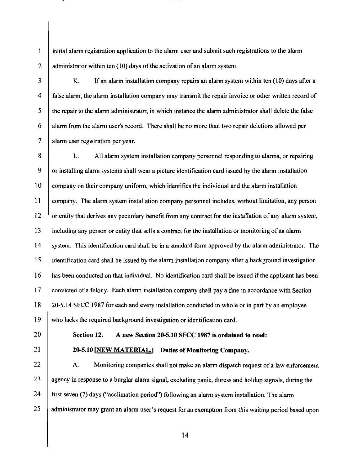1 2 initial alarm registration application to the alarm user and submit such registrations to the alarm administrator within ten (10) days of the activation of an alarm system.

3

4

5

6

7

K. If an alarm installation company repairs an alarm system within ten (10) days after a false alarm, the alarm installation company may transmit the repair invoice or other written record of the repair to the alarm administrator, in which instance the alarm administrator shall delete the false alarm from the alarm user's record. There shall be no more than two repair deletions allowed per alarm user registration per year.

8 9 10 11 12 13 14 15 16 17 18 19 L. All alarm system installation company personnel responding to alarms, or repairing or installing alarm systems shall wear a picture identification card issued by the alarm installation company on their company uniform, which identifies the individual and the alarm installation company. The alarm system installation company personnel includes, without limitation, any person or entity that derives any pecuniary benefit from any contract for the installation of any alarm system, including any person or entity that sells a contract for the installation or monitoring of an alarm system. This identification card shall be in a standard form approved by the alarm administrator. The identification card shall be issued by the alarm installation company after a background investigation has been conducted on that individual. No identification card shall be issued ifthe applicant has been convicted of a felony. Each alarm installation company shall pay a fine in accordance with Section 20-5.14 SFCC 1987 for each and every installation conducted in whole or in part by an employee who lacks the required background investigation or identification card.

20

Section 12. A new Section 20-5.10 SFCC 1987 is ordained to read:

## 21

20-5.10 [NEW MATERIAL.] Duties of Monitoring Company.

22 23 24 25 A. Monitoring companies shall not make an alarm dispatch request of a law enforcement agency in response to a burglar alarm signal, excluding panic, duress and holdup signals, during the first seven (7) days ("acclimation period") following an alarm system installation. The alarm administrator may grant an alarm user's request for an exemption from this waiting period based upon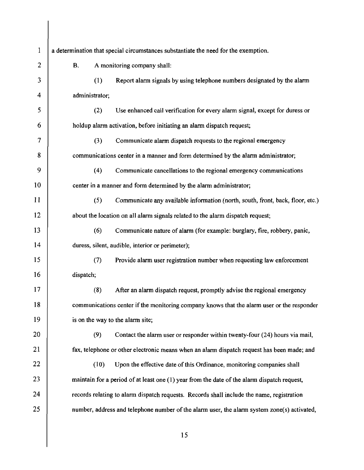| 1                        |                | a determination that special circumstances substantiate the need for the exemption.         |
|--------------------------|----------------|---------------------------------------------------------------------------------------------|
| $\overline{2}$           | <b>B.</b>      | A monitoring company shall:                                                                 |
| 3                        | (1)            | Report alarm signals by using telephone numbers designated by the alarm                     |
| 4                        | administrator; |                                                                                             |
| 5                        | (2)            | Use enhanced call verification for every alarm signal, except for duress or                 |
| 6                        |                | holdup alarm activation, before initiating an alarm dispatch request;                       |
| $\overline{\mathcal{L}}$ | (3)            | Communicate alarm dispatch requests to the regional emergency                               |
| 8                        |                | communications center in a manner and form determined by the alarm administrator;           |
| 9                        | (4)            | Communicate cancellations to the regional emergency communications                          |
| 10                       |                | center in a manner and form determined by the alarm administrator;                          |
| 11                       | (5)            | Communicate any available information (north, south, front, back, floor, etc.)              |
| 12                       |                | about the location on all alarm signals related to the alarm dispatch request;              |
| 13                       | (6)            | Communicate nature of alarm (for example: burglary, fire, robbery, panic,                   |
| 14                       |                | duress, silent, audible, interior or perimeter);                                            |
| 15                       | (7)            | Provide alarm user registration number when requesting law enforcement                      |
| 16                       | dispatch;      |                                                                                             |
| 17                       | (8)            | After an alarm dispatch request, promptly advise the regional emergency                     |
| 18                       |                | communications center if the monitoring company knows that the alarm user or the responder  |
| 19                       |                | is on the way to the alarm site;                                                            |
| 20                       | (9)            | Contact the alarm user or responder within twenty-four (24) hours via mail,                 |
| 21                       |                | fax, telephone or other electronic means when an alarm dispatch request has been made; and  |
| 22                       | (10)           | Upon the effective date of this Ordinance, monitoring companies shall                       |
| 23                       |                | maintain for a period of at least one (1) year from the date of the alarm dispatch request, |
| 24                       |                | records relating to alarm dispatch requests. Records shall include the name, registration   |
| 25                       |                | number, address and telephone number of the alarm user, the alarm system zone(s) activated, |
|                          |                |                                                                                             |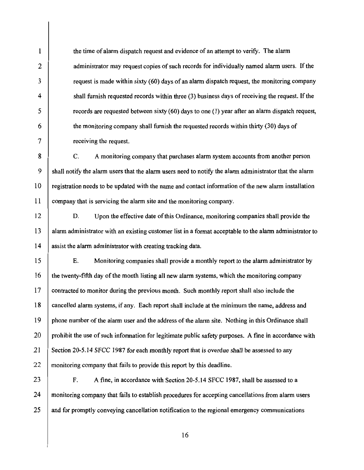the time of alarm dispatch request and evidence of an attempt to verify. The alarm administrator may request copies of such records for individually named alarm users. If the request is made within sixty (60) days of an alarm dispatch request, the monitoring company shall furnish requested records within three (3) business days of receiving the request. If the records are requested between sixty (60) days to one (I) year after an alarm dispatch request, the monitoring company shall furnish the requested records within thirty (30) days of receiving the request.

8 9 10 11 C. A monitoring company that purchases alarm system accounts from another person shall notify the alarm users that the alarm users need to notify the alarm administrator that the alarm registration needs to be updated with the name and contact information of the new alarm installation company that is servicing the alarm site and the monitoring company.

12 14 D. Upon the effective date of this Ordinance, monitoring companies shall provide the alarm administrator with an existing customer list in a format acceptable to the alarm administrator to assist the alarm administrator with creating tracking data.

15 16 17 18 19 20 21 22 E. Monitoring companies shall provide a monthly report to the alarm administrator by the twenty-fifth day of the month listing all new alarm systems, which the monitoring company contracted to monitor during the previous month. Such monthly report shall also include the cancelled alarm systems, if any. Each report shall include at the minimum the name, address and phone number of the alarm user and the address of the alarm site. Nothing in this Ordinance shall prohibit the use of such information for legitimate public safety purposes. A fine in accordance with Section 20-5.14 SFCC 1987 for each monthly report that is overdue shall be assessed to any monitoring company that fails to provide this report by this deadline.

23 24

25

1

2

3

4

5

6

7

13

F. A fine, in accordance with Section 20-5.14 SFCC 1987, shall be assessed to a monitoring company that fails to establish procedures for accepting cancellations from alarm users and for promptly conveying cancellation notification to the regional emergency communications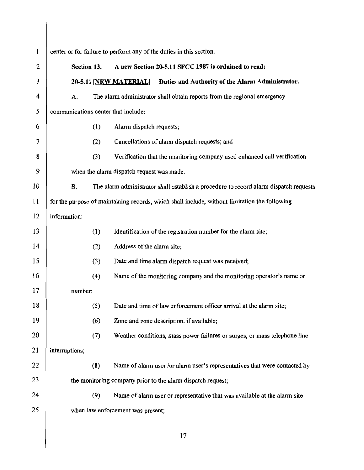| 1  |                                     |     | center or for failure to perform any of the duties in this section.                           |
|----|-------------------------------------|-----|-----------------------------------------------------------------------------------------------|
| 2  | Section 13.                         |     | A new Section 20-5.11 SFCC 1987 is ordained to read:                                          |
| 3  |                                     |     | 20-5.11 [NEW MATERIAL]<br>Duties and Authority of the Alarm Administrator.                    |
| 4  | A.                                  |     | The alarm administrator shall obtain reports from the regional emergency                      |
| 5  | communications center that include: |     |                                                                                               |
| 6  |                                     | (1) | Alarm dispatch requests;                                                                      |
| 7  |                                     | (2) | Cancellations of alarm dispatch requests; and                                                 |
| 8  |                                     | (3) | Verification that the monitoring company used enhanced call verification                      |
| 9  |                                     |     | when the alarm dispatch request was made.                                                     |
| 10 | <b>B.</b>                           |     | The alarm administrator shall establish a procedure to record alarm dispatch requests         |
| 11 |                                     |     | for the purpose of maintaining records, which shall include, without limitation the following |
| 12 | information:                        |     |                                                                                               |
| 13 |                                     | (1) | Identification of the registration number for the alarm site;                                 |
| 14 |                                     | (2) | Address of the alarm site;                                                                    |
| 15 |                                     | (3) | Date and time alarm dispatch request was received;                                            |
| 16 |                                     | (4) | Name of the monitoring company and the monitoring operator's name or                          |
| 17 | number;                             |     |                                                                                               |
| 18 |                                     | (5) | Date and time of law enforcement officer arrival at the alarm site;                           |
| 19 |                                     | (6) | Zone and zone description, if available;                                                      |
| 20 |                                     | (7) | Weather conditions, mass power failures or surges, or mass telephone line                     |
| 21 | interruptions;                      |     |                                                                                               |
| 22 |                                     | (8) | Name of alarm user /or alarm user's representatives that were contacted by                    |
| 23 |                                     |     | the monitoring company prior to the alarm dispatch request;                                   |
| 24 |                                     | (9) | Name of alarm user or representative that was available at the alarm site                     |
| 25 |                                     |     | when law enforcement was present;                                                             |
|    |                                     |     | 17                                                                                            |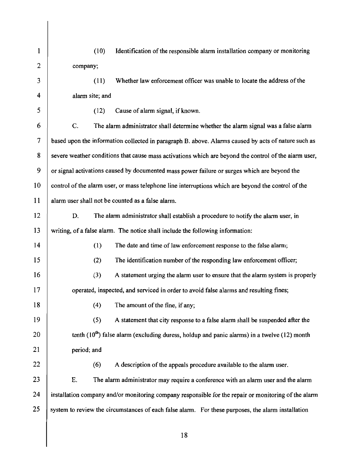| 1  | Identification of the responsible alarm installation company or monitoring<br>(10)                    |
|----|-------------------------------------------------------------------------------------------------------|
| 2  | company;                                                                                              |
| 3  | Whether law enforcement officer was unable to locate the address of the<br>(11)                       |
| 4  | alarm site; and                                                                                       |
| 5  | Cause of alarm signal, if known.<br>(12)                                                              |
| 6  | C.<br>The alarm administrator shall determine whether the alarm signal was a false alarm              |
| 7  | based upon the information collected in paragraph B. above. Alarms caused by acts of nature such as   |
| 8  | severe weather conditions that cause mass activations which are beyond the control of the alarm user, |
| 9  | or signal activations caused by documented mass power failure or surges which are beyond the          |
| 10 | control of the alarm user, or mass telephone line interruptions which are beyond the control of the   |
| 11 | alarm user shall not be counted as a false alarm.                                                     |
| 12 | The alarm administrator shall establish a procedure to notify the alarm user, in<br>D.                |
| 13 | writing, of a false alarm. The notice shall include the following information:                        |
| 14 | (1)<br>The date and time of law enforcement response to the false alarm;                              |
| 15 | The identification number of the responding law enforcement officer;<br>(2)                           |
| 16 | A statement urging the alarm user to ensure that the alarm system is properly<br>(3)                  |
| 17 | operated, inspected, and serviced in order to avoid false alarms and resulting fines;                 |
| 18 | The amount of the fine, if any;<br>(4)                                                                |
| 19 | (5)<br>A statement that city response to a false alarm shall be suspended after the                   |
| 20 | tenth $(10^{th})$ false alarm (excluding duress, holdup and panic alarms) in a twelve (12) month      |
| 21 | period; and                                                                                           |
| 22 | (6)<br>A description of the appeals procedure available to the alarm user.                            |
| 23 | The alarm administrator may require a conference with an alarm user and the alarm<br>Ε.               |
| 24 | installation company and/or monitoring company responsible for the repair or monitoring of the alarm  |
| 25 | system to review the circumstances of each false alarm. For these purposes, the alarm installation    |
|    |                                                                                                       |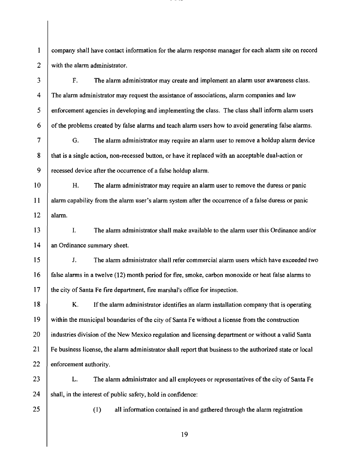1 2 company shall have contact information for the alarm response manager for each alarm site on record with the alarm administrator.

3 4 5 6 F. The alarm administrator may create and implement an alarm user awareness class. The alarm administrator may request the assistance of associations, alarm companies and law enforcement agencies in developing and implementing the class. The class shall inform alarm users of the problems created by false alarms and teach alarm users how to avoid generating false alarms.

7 8 9 G. The alarm administrator may require an alarm user to remove a holdup alarm device that is a single action, non-recessed button, or have it replaced with an acceptable dual-action or recessed device after the occurrence of a false holdup alarm.

10 11 12 H. The alarm administrator may require an alarm user to remove the duress or panic alarm capability from the alarm user's alarm system after the occurrence of a false duress or panic alarm.

13 14 I. The alarm administrator shall make available to the alarm user this Ordinance and/or an Ordinance summary sheet.

15 16 17 J. The alarm administrator shall refer commercial alarm users which have exceeded two false alarms in a twelve (12) month period for fire, smoke, carbon monoxide or heat false alarms to the city of Santa Fe fire department, fire marshal's office for inspection.

18 19 20 21 22 K. If the alarm administrator identifies an alarm installation company that is operating within the municipal boundaries of the city of Santa Fe without a license from the construction industries division of the New Mexico regulation and licensing department or without a valid Santa Fe business license, the alarm administrator shall report that business to the authorized state or local enforcement authority.

23

24

L. The alarm administrator and all employees or representatives of the city of Santa Fe shall, in the interest of public safety, hold in confidence:

25

(I) all information contained in and gathered through the alarm registration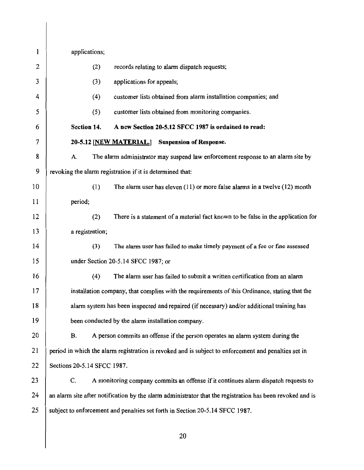| $\mathbf{1}$ | applications;                                                                                             |  |
|--------------|-----------------------------------------------------------------------------------------------------------|--|
| $\mathbf{2}$ | (2)<br>records relating to alarm dispatch requests;                                                       |  |
| 3            | (3)<br>applications for appeals;                                                                          |  |
| 4            | (4)<br>customer lists obtained from alarm installation companies; and                                     |  |
| 5            | (5)<br>customer lists obtained from monitoring companies.                                                 |  |
| 6            | Section 14.<br>A new Section 20-5.12 SFCC 1987 is ordained to read:                                       |  |
| 7            | 20-5.12 [NEW MATERIAL.] Suspension of Response.                                                           |  |
| 8            | A.<br>The alarm administrator may suspend law enforcement response to an alarm site by                    |  |
| 9            | revoking the alarm registration if it is determined that:                                                 |  |
| 10           | (1)<br>The alarm user has eleven $(11)$ or more false alarms in a twelve $(12)$ month                     |  |
| 11           | period;                                                                                                   |  |
| 12           | (2)<br>There is a statement of a material fact known to be false in the application for                   |  |
| 13           | a registration;                                                                                           |  |
| 14           | (3)<br>The alarm user has failed to make timely payment of a fee or fine assessed                         |  |
| 15           | under Section 20-5.14 SFCC 1987; or                                                                       |  |
| 16           | The alarm user has failed to submit a written certification from an alarm<br>(4)                          |  |
| 17           | installation company, that complies with the requirements of this Ordinance, stating that the             |  |
| 18           | alarm system has been inspected and repaired (if necessary) and/or additional training has                |  |
| 19           | been conducted by the alarm installation company.                                                         |  |
| 20           | <b>B.</b><br>A person commits an offense if the person operates an alarm system during the                |  |
| 21           | period in which the alarm registration is revoked and is subject to enforcement and penalties set in      |  |
| 22           | Sections 20-5.14 SFCC 1987.                                                                               |  |
| 23           | C.<br>A monitoring company commits an offense if it continues alarm dispatch requests to                  |  |
| 24           | an alarm site after notification by the alarm administrator that the registration has been revoked and is |  |
| 25           | subject to enforcement and penalties set forth in Section 20-5.14 SFCC 1987.                              |  |
|              | 20                                                                                                        |  |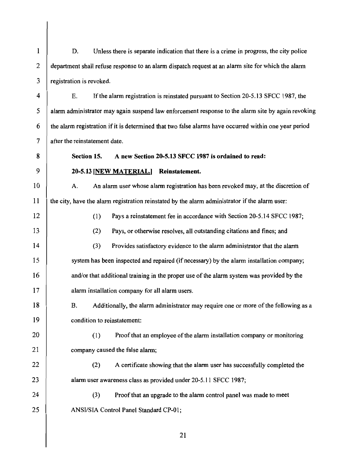1 2 3 D. Unless there is separate indication that there is a crime in progress, the city police department shall refuse response to an alarm dispatch request at an alarm site for which the alarm registration is revoked.

4 5 6 7 E. If the alarm registration is reinstated pursuant to Section 20-5.13 SFCC 1987, the alarm administrator may again suspend law enforcement response to the alarm site by again revoking the alarm registration ifit is determined that two false alarms have occurred within one year period after the reinstatement date.

**Section 15.** A **new Section 20-5.13 SFCC 1987 is ordained to read:** 

#### **20-5.13 [NEW MATERIAL.] Reinstatement.**

8

9

12

13

14

15

16

17

20

21

22

23

24

25

10 11 A. An alarm user whose alarm registration has been revoked may, at the discretion of the city, have the alarm registration reinstated by the alarm administrator if the alarm user:

(1) Pays a reinstatement fee in accordance with Section 20-5.14 SFCC 1987;

(2) Pays, or otherwise resolves, all outstanding citations and fines; and

(3) Provides satisfactory evidence to the alarm administrator that the alarm system has been inspected and repaired (if necessary) by the alarm installation company; and/or that additional training in the proper use of the alarm system was provided by the alarm installation company for all alarm users.

18 19 B. Additionally, the alarm administrator may require one or more ofthe following as a condition to reinstatement:

(1) Proof that an employee ofthe alarm installation company or monitoring company caused the false alarm;

(2) A certificate showing that the alarm user has successfully completed the alarm user awareness class as provided under 20-5.11 SFCC 1987;

(3) Proof that an upgrade to the alarm control panel was made to meet ANSI/SIA Control Panel Standard CP-01;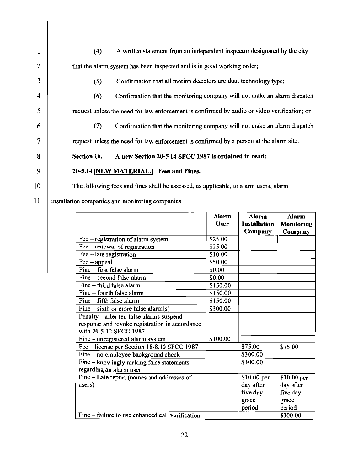| 1              | A written statement from an independent inspector designated by the city<br>(4)             |
|----------------|---------------------------------------------------------------------------------------------|
| $\overline{2}$ | that the alarm system has been inspected and is in good working order;                      |
| 3              | Confirmation that all motion detectors are dual technology type;<br>(5)                     |
| 4              | Confirmation that the monitoring company will not make an alarm dispatch<br>(6)             |
| 5              | request unless the need for law enforcement is confirmed by audio or video verification; or |
| 6              | Confirmation that the monitoring company will not make an alarm dispatch<br>(7)             |
| 7              | request unless the need for law enforcement is confirmed by a person at the alarm site.     |
| 8              | A new Section 20-5.14 SFCC 1987 is ordained to read:<br>Section 16.                         |
| 9              | 20-5.14 [NEW MATERIAL.] Fees and Fines.                                                     |
| 10             | The following fees and fines shall be assessed, as applicable, to alarm users, alarm        |
| 11             | installation companies and monitoring companies:                                            |
|                |                                                                                             |

|                                                  | Alarm       | Alarm               | Alarm       |
|--------------------------------------------------|-------------|---------------------|-------------|
|                                                  | <b>User</b> | <b>Installation</b> | Monitoring  |
|                                                  |             | Company             | Company     |
| Fee – registration of alarm system               | \$25.00     |                     |             |
| Fee - renewal of registration                    | \$25.00     |                     |             |
| $\text{Fe}$ – late registration                  | \$10.00     |                     |             |
| $\text{Fee}-\text{appeal}$                       | \$50.00     |                     |             |
| Fine - first false alarm                         | \$0.00      |                     |             |
| Fine – second false alarm                        | \$0.00      |                     |             |
| Fine - third false alarm                         | \$150.00    |                     |             |
| Fine – fourth false alarm                        | \$150.00    |                     |             |
| Fine - fifth false alarm                         | \$150.00    |                     |             |
| Fine $-$ sixth or more false alarm(s)            | \$300.00    |                     |             |
| Penalty - after ten false alarms suspend         |             |                     |             |
| response and revoke registration in accordance   |             |                     |             |
| with 20-5.12 SFCC 1987                           |             |                     |             |
| Fine - unregistered alarm system                 | \$100.00    |                     |             |
| Fee - license per Section 18-8.10 SFCC 1987      |             | \$75.00             | \$75.00     |
| Fine – no employee background check              |             | \$300.00            |             |
| Fine - knowingly making false statements         |             | \$300.00            |             |
| regarding an alarm user                          |             |                     |             |
| Fine - Late report (names and addresses of       |             | $$10.00$ per        | \$10.00 per |
| users)                                           |             | day after           | day after   |
|                                                  |             | five day            | five day    |
|                                                  |             | grace               | grace       |
|                                                  |             | period              | period      |
| Fine – failure to use enhanced call verification |             |                     | \$300.00    |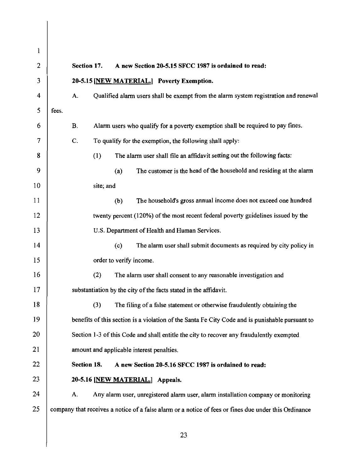| 1              |                                                                                                       |
|----------------|-------------------------------------------------------------------------------------------------------|
| $\overline{2}$ | Section 17.<br>A new Section 20-5.15 SFCC 1987 is ordained to read:                                   |
| 3              | 20-5.15 [NEW MATERIAL.] Poverty Exemption.                                                            |
| 4              | Qualified alarm users shall be exempt from the alarm system registration and renewal<br>A.            |
| 5              | fees.                                                                                                 |
| 6              | <b>B.</b><br>Alarm users who qualify for a poverty exemption shall be required to pay fines.          |
| 7              | C.<br>To qualify for the exemption, the following shall apply:                                        |
| 8              | (1)<br>The alarm user shall file an affidavit setting out the following facts:                        |
| 9              | The customer is the head of the household and residing at the alarm<br>(a)                            |
| 10             | site; and                                                                                             |
| 11             | (b)<br>The household's gross annual income does not exceed one hundred                                |
| 12             | twenty percent (120%) of the most recent federal poverty guidelines issued by the                     |
| 13             | U.S. Department of Health and Human Services.                                                         |
| 14             | The alarm user shall submit documents as required by city policy in<br>(c)                            |
| 15             | order to verify income.                                                                               |
| 16             | (2)<br>The alarm user shall consent to any reasonable investigation and                               |
| 17             | substantiation by the city of the facts stated in the affidavit.                                      |
| 18             | (3)<br>The filing of a false statement or otherwise fraudulently obtaining the                        |
| 19             | benefits of this section is a violation of the Santa Fe City Code and is punishable pursuant to       |
| 20             | Section 1-3 of this Code and shall entitle the city to recover any fraudulently exempted              |
| 21             | amount and applicable interest penalties.                                                             |
| 22             | Section 18.<br>A new Section 20-5.16 SFCC 1987 is ordained to read:                                   |
| 23             | 20-5.16 [NEW MATERIAL.] Appeals.                                                                      |
| 24             | Any alarm user, unregistered alarm user, alarm installation company or monitoring<br>A.               |
| 25             | company that receives a notice of a false alarm or a notice of fees or fines due under this Ordinance |
|                |                                                                                                       |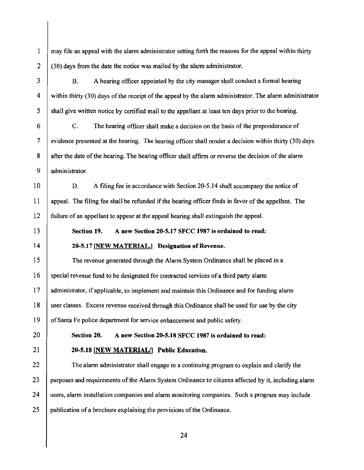1 2 may file an appeal with the alann administrator setting forth the reasons for the appeal within thirty (30) days from the date the notice was mailed by the alarm administrator.

B. A hearing officer appointed by the city manager shall conduct a formal hearing within thirty (30) days of the receipt of the appeal by the alarm administrator. The alarm administrator shall give written notice by certified mail to the appellant at least ten days prior to the hearing.

c. The hearing officer shall make a decision on the basis of the preponderance of evidence presented at the hearing. The hearing officer shall render a decision within thirty (30) days after the date of the hearing. The hearing officer shall affirm or reverse the decision of the alarm administrator.

10 11 12 D. A filing fee in accordance with Section 20-5.14 shall accompany the notice of appeal. The filing fee shall be refunded if the hearing officer finds in favor of the appellant. The failure of an appellant to appear at the appeal hearing shall extinguish the appeal.

13

14

3

4

5

6

7

8

9

# Section 19. A new Section 20-5.17 SFCC 1987 is ordained to read: 20-5.17 [NEW MATERIAL.] Designation of Revenue.

15 16 17 18 19 The revenue generated through the Alarm System Ordinance shall be placed in a special revenue fund to be designated for contracted services of a third party alarm administrator, if applicable, to implement and maintain this Ordinance and for funding alarm user classes. Excess revenue received through this Ordinance shall be used for use by the city of Santa Fe police department for service enhancement and public safety.

20

21

### Section 20. A new Section 20-5.18 SFCC 1987 is ordained to read:

### 20-5.18 [NEW MATERIAU] Public Education.

22 23 24 25 The alarm administrator shall engage in a continuing program to explain and clarify the purposes and requirements of the Alarm System Ordinance to citizens affected by it, including alann users, alarm installation companies and alarm monitoring companies. Such a program may include publication of a brochure explaining the provisions of the Ordinance.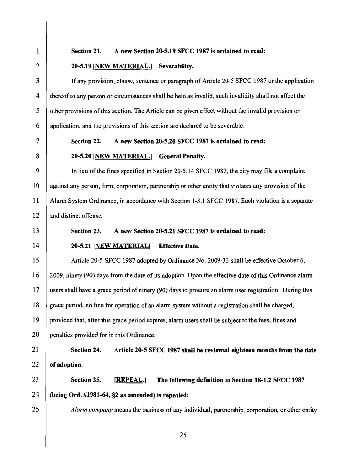#### Section 21. A new Section 20-5.19 SFCC 1987 is ordained to read:

#### 20-5.19 [NEW MATERIAL.] Severability.

If any provision, clause, sentence or paragraph of Article 20-5 SFCC 1987 or the application thereof to any person or circumstances shall be held as invalid, such invalidity shall not affect the other provisions ofthis section. The Article can be given effect without the invalid provision or application, and the provisions of this section are declared to be severable.

#### Section 22. A new Section 20-5.20 SFCC 1987 is ordained to read:

#### 20-5.20 [NEW MATERIAL.] General Penalty.

9 10 11 12 In lieu of the fines specified in Section 20-5.14 SFCC 1987, the city may file a complaint against any person, firm, corporation, partnership or other entity that violates any provision ofthe Alarm System Ordinance, in accordance with Section 1-3.1 SFCC 1987. Each violation is a separate and distinct offense.

### 13

14

23

24

25

1

2

3

4

5

6

7

8

#### Section 23. A new Section 20-5.21 SFCC 1987 is ordained to read:

#### 20-5.21 [NEW MATERIAL] Effective Date.

15 16 17 18 19 20 Article 20-5 SFCC 1987 adopted by Ordinance No. 2009-33 shall be effective October 6, 2009, ninety (90) days from the date of its adoption. Upon the effective date ofthis Ordinance alann users shall have a grace period of ninety (90) days to procure an alann user registration. During this grace period, no fine for operation of an alarm system without a registration shall be charged, provided that, after this grace period expires, alann users shall be subject to the fees, fines and penalties provided for in this Ordinance.

#### 21 22 Section 24. Article 20-5 SFCC 1987 shall be reviewed eighteen months from the date of adoption.

Section 25. [REPEAL.] The following definition in Section 18-1.2 SFCC 1987 (being Ord. #1981-64, §2 as amended) is repealed:

*Alarm company* means the business of any individual, partnership, corporation, or other entity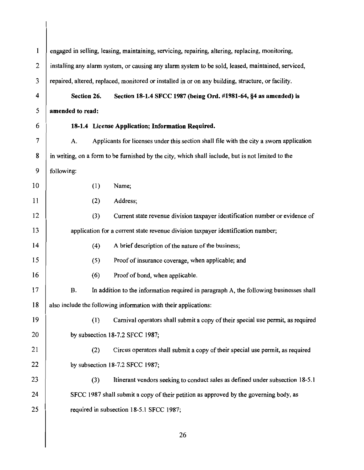1 2 3 4 5 6 7 8 9 10 11 12 13 14 15 16 17 18 19 20 21 22 23 24 25 engaged in selling, leasing, maintaining, servicing, repairing, altering, replacing, monitoring, installing any alarm system, or causing any alarm system to be sold, leased, maintained, serviced, repaired, altered, replaced, monitored or installed in or on any building, structure, or facility. Section 26. Section 18-1.4 SFCC 1987 (being Ord. #1981-64, §4 as amended) is amended to read: 18-1.4 License Application; Information Required. A. Applicants for licenses under this section shall file with the city a sworn application in writing, on a form to be furnished by the city, which shall include, but is not limited to the following: (1) Name; (2) Address; (3) Current state revenue division taxpayer identification number or evidence of application for a current state revenue division taxpayer identification number;  $(4)$  A brief description of the nature of the business; (5) Proof of insurance coverage, when applicable; and (6) Proof of bond, when applicable. B. In addition to the information required in paragraph A, the following businesses shall also include the following information with their applications: (1) Carnival operators shall submit a copy oftheir special use permit, as required by subsection 18-7.2 SFCC 1987; (2) Circus operators shall submit a copy of their special use permit, as required by subsection 18-7.2 SFCC 1987; (3) Itinerant vendors seeking to conduct sales as defined under subsection 18-5.1 SFCC 1987 shall submit a copy of their petition as approved by the governing body, as required in subsection 18-5.1 SFCC 1987; 26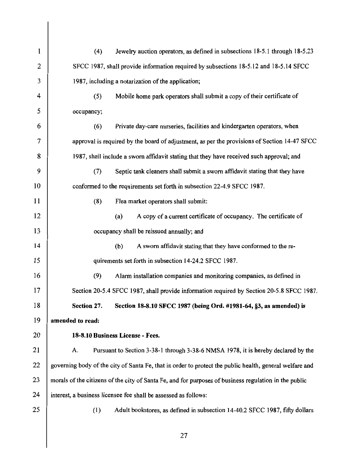| 1  | (4)                                                                                                   | Jewelry auction operators, as defined in subsections 18-5.1 through 18-5.23                             |
|----|-------------------------------------------------------------------------------------------------------|---------------------------------------------------------------------------------------------------------|
| 2  | SFCC 1987, shall provide information required by subsections 18-5.12 and 18-5.14 SFCC                 |                                                                                                         |
| 3  | 1987, including a notarization of the application;                                                    |                                                                                                         |
| 4  | (5)                                                                                                   | Mobile home park operators shall submit a copy of their certificate of                                  |
| 5  | occupancy;                                                                                            |                                                                                                         |
| 6  | (6)                                                                                                   | Private day-care nurseries, facilities and kindergarten operators, when                                 |
| 7  |                                                                                                       | approval is required by the board of adjustment, as per the provisions of Section 14-47 SFCC            |
| 8  | 1987, shall include a sworn affidavit stating that they have received such approval; and              |                                                                                                         |
| 9  | (7)                                                                                                   | Septic tank cleaners shall submit a sworn affidavit stating that they have                              |
| 10 | conformed to the requirements set forth in subsection 22-4.9 SFCC 1987.                               |                                                                                                         |
| 11 | (8)                                                                                                   | Flea market operators shall submit:                                                                     |
| 12 |                                                                                                       | A copy of a current certificate of occupancy. The certificate of<br>(a)                                 |
| 13 | occupancy shall be reissued annually; and                                                             |                                                                                                         |
| 14 |                                                                                                       | (b)<br>A sworn affidavit stating that they have conformed to the re-                                    |
| 15 | quirements set forth in subsection 14-24.2 SFCC 1987.                                                 |                                                                                                         |
| 16 | (9)                                                                                                   | Alarm installation companies and monitoring companies, as defined in                                    |
| 17 | Section 20-5.4 SFCC 1987, shall provide information required by Section 20-5.8 SFCC 1987.             |                                                                                                         |
| 18 | Section 27.                                                                                           | Section 18-8.10 SFCC 1987 (being Ord. #1981-64, §3, as amended) is                                      |
| 19 | amended to read:                                                                                      |                                                                                                         |
| 20 | 18-8.10 Business License - Fees.                                                                      |                                                                                                         |
| 21 | А.                                                                                                    | Pursuant to Section 3-38-1 through 3-38-6 NMSA 1978, it is hereby declared by the                       |
| 22 |                                                                                                       | governing body of the city of Santa Fe, that in order to protect the public health, general welfare and |
| 23 | morals of the citizens of the city of Santa Fe, and for purposes of business regulation in the public |                                                                                                         |
| 24 | interest, a business licensee fee shall be assessed as follows:                                       |                                                                                                         |
| 25 | (1)                                                                                                   | Adult bookstores, as defined in subsection 14-40.2 SFCC 1987, fifty dollars                             |
|    |                                                                                                       |                                                                                                         |

 $\mathcal{L}$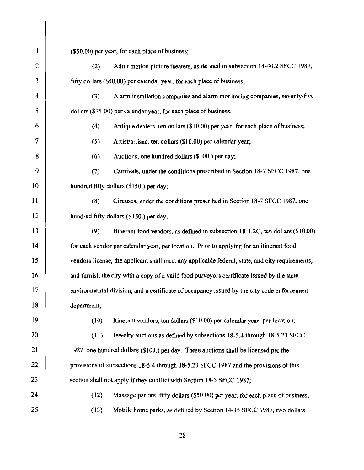| 1  | (\$50.00) per year, for each place of business;                                                 |  |
|----|-------------------------------------------------------------------------------------------------|--|
| 2  | Adult motion picture theaters, as defined in subsection 14-40.2 SFCC 1987,<br>(2)               |  |
| 3  | fifty dollars (\$50.00) per calendar year, for each place of business;                          |  |
| 4  | Alarm installation companies and alarm monitoring companies, seventy-five<br>(3)                |  |
| 5  | dollars (\$75.00) per calendar year, for each place of business.                                |  |
| 6  | Antique dealers, ten dollars (\$10.00) per year, for each place of business;<br>(4)             |  |
| 7  | (5)<br>Artist/artisan, ten dollars (\$10.00) per calendar year;                                 |  |
| 8  | Auctions, one hundred dollars (\$100.) per day;<br>(6)                                          |  |
| 9  | (7)<br>Carnivals, under the conditions prescribed in Section 18-7 SFCC 1987, one                |  |
| 10 | hundred fifty dollars (\$150.) per day;                                                         |  |
| 11 | (8)<br>Circuses, under the conditions prescribed in Section 18-7 SFCC 1987, one                 |  |
| 12 | hundred fifty dollars (\$150.) per day;                                                         |  |
| 13 | (9)<br>Itinerant food vendors, as defined in subsection 18-1.2G, ten dollars (\$10.00)          |  |
| 14 | for each vendor per calendar year, per location. Prior to applying for an itinerant food        |  |
| 15 | vendors license, the applicant shall meet any applicable federal, state, and city requirements, |  |
| 16 | and furnish the city with a copy of a valid food purveyors certificate issued by the state      |  |
| 17 | environmental division, and a certificate of occupancy issued by the city code enforcement      |  |
| 18 | department;                                                                                     |  |
| 19 | (10)<br>Itinerant vendors, ten dollars (\$10.00) per calendar year, per location;               |  |
| 20 | (11)<br>Jewelry auctions as defined by subsections 18-5.4 through 18-5.23 SFCC                  |  |
| 21 | 1987, one hundred dollars (\$100.) per day. These auctions shall be licensed per the            |  |
| 22 | provisions of subsections 18-5.4 through 18-5.23 SFCC 1987 and the provisions of this           |  |
| 23 | section shall not apply if they conflict with Section 18-5 SFCC 1987;                           |  |
| 24 | (12)<br>Massage parlors, fifty dollars (\$50.00) per year, for each place of business;          |  |
| 25 | (13)<br>Mobile home parks, as defined by Section 14-35 SFCC 1987, two dollars                   |  |
|    |                                                                                                 |  |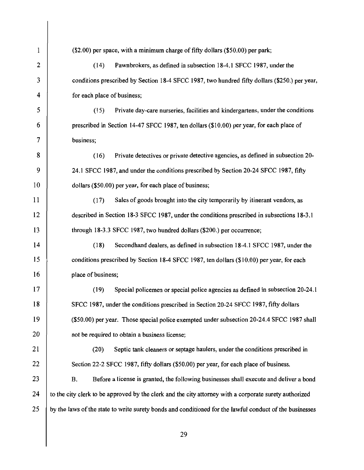$\mathbf{1}$ (\$2.00) per space, with a minimum charge of fifty dollars (\$50.00) per park; 2 (14) Pawnbrokers, as defined in subsection 18-4.1 SFCC 1987, under the 3 conditions prescribed by Section 18-4 SFCC 1987, two hundred fifty dollars (\$250.) per year, 4 for each place of business; 5 (15) Private day-care nurseries, facilities and kindergartens, under the conditions 6 prescribed in Section 14-47 SFCC 1987, ten dollars (\$10.00) per year, for each place of 7 business; 8 (16) Private detectives or private detective agencies, as defined in subsection 20- 9 24.1 SFCC 1987, and under the conditions prescribed by Section 20-24 SFCC 1987, fifty 10 dollars (\$50.00) per year, for each place of business; 11 (17) Sales of goods brought into the city temporarily by itinerant vendors, as 12 described in Section 18-3 SFCC 1987, under the conditions prescribed in subsections 18-3.1 13 through 18-3.3 SFCC 1987, two hundred dollars (\$200.) per occurrence; 14 (18) Secondhand dealers, as defined in subsection 18-4.1 SFCC 1987, under the 15 conditions prescribed by Section 18-4 SFCC 1987, ten dollars (\$10.00) per year, for each 16 **place of business;** 17 (19) Special policemen or special police agencies as defined in subsection 20-24.1 18 SFCC 1987, under the conditions prescribed in Section 20-24 SFCC 1987, fifty dollars 19 (\$50.00) per year. Those special police exempted under subsection 20-24.4 SFCC 1987 shall 20 not be required to obtain a business license; 21 (20) Septic tank cleaners or septage haulers, under the conditions prescribed in 22 | Section 22-2 SFCC 1987, fifty dollars (\$50.00) per year, for each place of business. 23 B. Before a license is granted, the following businesses shall execute and deliver a bond 24 to the city clerk to be approved by the clerk and the city attorney with a corporate surety authorized 25 by the laws of the state to write surety bonds and conditioned for the lawful conduct of the businesses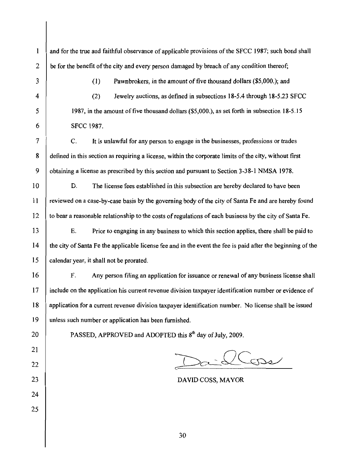and for the true and faithful observance of applicable provisions of the SFCC 1987; such bond shall  $2$  be for the benefit of the city and every person damaged by breach of any condition thereof;

5

 $\mathbf{1}$ 

3 (1) Pawnbrokers, in the amount of five thousand dollars (\$5,000.); and

4 (2) Jewelry auctions, as defined in subsections 18-5.4 through 18-5.23 SFCC 1987, in the amount of five thousand dollars (\$5,000.), as set forth in subsection 18-5.15 6 SFCC 1987.

7 C. It is unlawful for any person to engage in the businesses, professions or trades 8 defined in this section as requiring a license, within the corporate limits of the city, without first 9 obtaining a license as prescribed by this section and pursuant to Section 3-38-1 NMSA 1978.

10 D. The license fees established in this subsection are hereby declared to have been 11 reviewed on a case-by-case basis by the governing body of the city of Santa Fe and are hereby found 12 to bear a reasonable relationship to the costs ofregulations of each business by the city of Santa Fe.

15 13 E. Prior to engaging in any business to which this section applies, there shall be paid to 14 the city of Santa Fe the applicable license fee and in the event the fee is paid after the beginning of the calendar year, it shall not be prorated.

16 F. Any person filing an application for issuance or renewal of any business license shall 17 include on the application his current revenue division taxpayer identification number or evidence of 18 application for a current revenue division taxpayer identification number. No license shall be issued 19 unless such number or application has been furnished.

20 21

22

25

24

PASSED, APPROVED and ADOPTED this 8<sup>th</sup> day of July, 2009.

Cosse

23 DAVID COSS, MAYOR